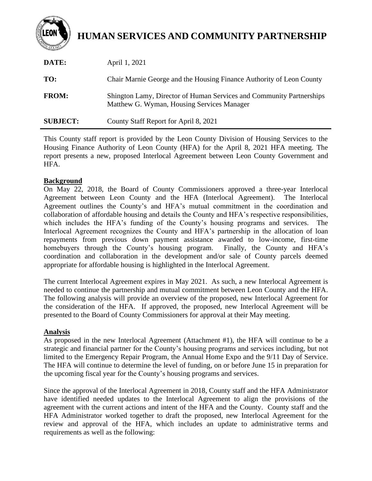

# **HUMAN SERVICES AND COMMUNITY PARTNERSHIP**

| DATE:           | April 1, 2021                                                                                                      |
|-----------------|--------------------------------------------------------------------------------------------------------------------|
| TO:             | Chair Marnie George and the Housing Finance Authority of Leon County                                               |
| <b>FROM:</b>    | Shington Lamy, Director of Human Services and Community Partnerships<br>Matthew G. Wyman, Housing Services Manager |
| <b>SUBJECT:</b> | County Staff Report for April 8, 2021                                                                              |

This County staff report is provided by the Leon County Division of Housing Services to the Housing Finance Authority of Leon County (HFA) for the April 8, 2021 HFA meeting. The report presents a new, proposed Interlocal Agreement between Leon County Government and HFA.

#### **Background**

On May 22, 2018, the Board of County Commissioners approved a three-year Interlocal Agreement between Leon County and the HFA (Interlocal Agreement). The Interlocal Agreement outlines the County's and HFA's mutual commitment in the coordination and collaboration of affordable housing and details the County and HFA's respective responsibilities, which includes the HFA's funding of the County's housing programs and services. The Interlocal Agreement recognizes the County and HFA's partnership in the allocation of loan repayments from previous down payment assistance awarded to low-income, first-time homebuyers through the County's housing program. Finally, the County and HFA's coordination and collaboration in the development and/or sale of County parcels deemed appropriate for affordable housing is highlighted in the Interlocal Agreement.

The current Interlocal Agreement expires in May 2021. As such, a new Interlocal Agreement is needed to continue the partnership and mutual commitment between Leon County and the HFA. The following analysis will provide an overview of the proposed, new Interlocal Agreement for the consideration of the HFA. If approved, the proposed, new Interlocal Agreement will be presented to the Board of County Commissioners for approval at their May meeting.

#### **Analysis**

As proposed in the new Interlocal Agreement (Attachment #1), the HFA will continue to be a strategic and financial partner for the County's housing programs and services including, but not limited to the Emergency Repair Program, the Annual Home Expo and the 9/11 Day of Service. The HFA will continue to determine the level of funding, on or before June 15 in preparation for the upcoming fiscal year for the County's housing programs and services.

Since the approval of the Interlocal Agreement in 2018, County staff and the HFA Administrator have identified needed updates to the Interlocal Agreement to align the provisions of the agreement with the current actions and intent of the HFA and the County. County staff and the HFA Administrator worked together to draft the proposed, new Interlocal Agreement for the review and approval of the HFA, which includes an update to administrative terms and requirements as well as the following: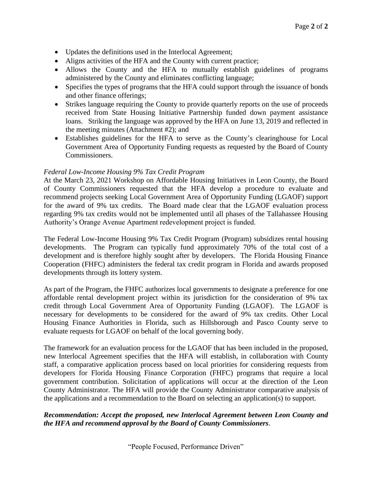- Updates the definitions used in the Interlocal Agreement;
- Aligns activities of the HFA and the County with current practice;
- Allows the County and the HFA to mutually establish guidelines of programs administered by the County and eliminates conflicting language;
- Specifies the types of programs that the HFA could support through the issuance of bonds and other finance offerings;
- Strikes language requiring the County to provide quarterly reports on the use of proceeds received from State Housing Initiative Partnership funded down payment assistance loans. Striking the language was approved by the HFA on June 13, 2019 and reflected in the meeting minutes (Attachment #2); and
- Establishes guidelines for the HFA to serve as the County's clearinghouse for Local Government Area of Opportunity Funding requests as requested by the Board of County Commissioners.

#### *Federal Low-Income Housing 9% Tax Credit Program*

At the March 23, 2021 Workshop on Affordable Housing Initiatives in Leon County, the Board of County Commissioners requested that the HFA develop a procedure to evaluate and recommend projects seeking Local Government Area of Opportunity Funding (LGAOF) support for the award of 9% tax credits. The Board made clear that the LGAOF evaluation process regarding 9% tax credits would not be implemented until all phases of the Tallahassee Housing Authority's Orange Avenue Apartment redevelopment project is funded.

The Federal Low-Income Housing 9% Tax Credit Program (Program) subsidizes rental housing developments. The Program can typically fund approximately 70% of the total cost of a development and is therefore highly sought after by developers. The Florida Housing Finance Cooperation (FHFC) administers the federal tax credit program in Florida and awards proposed developments through its lottery system.

As part of the Program, the FHFC authorizes local governments to designate a preference for one affordable rental development project within its jurisdiction for the consideration of 9% tax credit through Local Government Area of Opportunity Funding (LGAOF). The LGAOF is necessary for developments to be considered for the award of 9% tax credits. Other Local Housing Finance Authorities in Florida, such as Hillsborough and Pasco County serve to evaluate requests for LGAOF on behalf of the local governing body.

The framework for an evaluation process for the LGAOF that has been included in the proposed, new Interlocal Agreement specifies that the HFA will establish, in collaboration with County staff, a comparative application process based on local priorities for considering requests from developers for Florida Housing Finance Corporation (FHFC) programs that require a local government contribution. Solicitation of applications will occur at the direction of the Leon County Administrator. The HFA will provide the County Administrator comparative analysis of the applications and a recommendation to the Board on selecting an application(s) to support.

## *Recommendation: Accept the proposed, new Interlocal Agreement between Leon County and the HFA and recommend approval by the Board of County Commissioners*.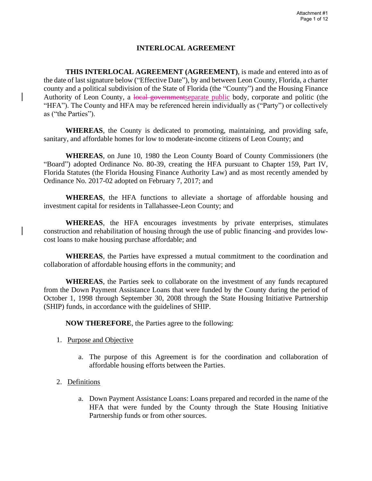## **INTERLOCAL AGREEMENT**

**THIS INTERLOCAL AGREEMENT (AGREEMENT)**, is made and entered into as of the date of last signature below ("Effective Date"), by and between Leon County, Florida, a charter county and a political subdivision of the State of Florida (the "County") and the Housing Finance Authority of Leon County, a local governmentseparate public body, corporate and politic (the "HFA"). The County and HFA may be referenced herein individually as ("Party") or collectively as ("the Parties").

**WHEREAS**, the County is dedicated to promoting, maintaining, and providing safe, sanitary, and affordable homes for low to moderate-income citizens of Leon County; and

**WHEREAS**, on June 10, 1980 the Leon County Board of County Commissioners (the "Board") adopted Ordinance No. 80-39, creating the HFA pursuant to Chapter 159, Part IV, Florida Statutes (the Florida Housing Finance Authority Law) and as most recently amended by Ordinance No. 2017-02 adopted on February 7, 2017; and

**WHEREAS**, the HFA functions to alleviate a shortage of affordable housing and investment capital for residents in Tallahassee-Leon County; and

**WHEREAS**, the HFA encourages investments by private enterprises, stimulates construction and rehabilitation of housing through the use of public financing -and provides lowcost loans to make housing purchase affordable; and

**WHEREAS**, the Parties have expressed a mutual commitment to the coordination and collaboration of affordable housing efforts in the community; and

**WHEREAS**, the Parties seek to collaborate on the investment of any funds recaptured from the Down Payment Assistance Loans that were funded by the County during the period of October 1, 1998 through September 30, 2008 through the State Housing Initiative Partnership (SHIP) funds, in accordance with the guidelines of SHIP.

**NOW THEREFORE**, the Parties agree to the following:

- 1. Purpose and Objective
	- a. The purpose of this Agreement is for the coordination and collaboration of affordable housing efforts between the Parties.
- 2. Definitions
	- a. Down Payment Assistance Loans: Loans prepared and recorded in the name of the HFA that were funded by the County through the State Housing Initiative Partnership funds or from other sources.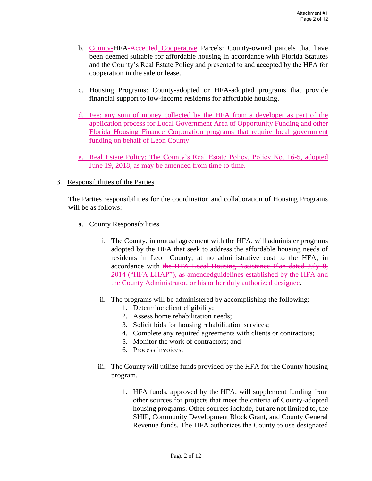- b. County-HFA-Accepted Cooperative Parcels: County-owned parcels that have been deemed suitable for affordable housing in accordance with Florida Statutes and the County's Real Estate Policy and presented to and accepted by the HFA for cooperation in the sale or lease.
- c. Housing Programs: County-adopted or HFA-adopted programs that provide financial support to low-income residents for affordable housing.
- d. Fee: any sum of money collected by the HFA from a developer as part of the application process for Local Government Area of Opportunity Funding and other Florida Housing Finance Corporation programs that require local government funding on behalf of Leon County.
- e. Real Estate Policy: The County's Real Estate Policy, Policy No. 16-5, adopted June 19, 2018, as may be amended from time to time.

#### 3. Responsibilities of the Parties

The Parties responsibilities for the coordination and collaboration of Housing Programs will be as follows:

- a. County Responsibilities
	- i. The County, in mutual agreement with the HFA, will administer programs adopted by the HFA that seek to address the affordable housing needs of residents in Leon County, at no administrative cost to the HFA, in accordance with the HFA Local Housing Assistance Plan dated July 8, 2014 ("HFA LHAP"), as amendedguidelines established by the HFA and the County Administrator, or his or her duly authorized designee.
	- ii. The programs will be administered by accomplishing the following:
		- 1. Determine client eligibility;
		- 2. Assess home rehabilitation needs;
		- 3. Solicit bids for housing rehabilitation services;
		- 4. Complete any required agreements with clients or contractors;
		- 5. Monitor the work of contractors; and
		- 6. Process invoices.
	- iii. The County will utilize funds provided by the HFA for the County housing program.
		- 1. HFA funds, approved by the HFA, will supplement funding from other sources for projects that meet the criteria of County-adopted housing programs. Other sources include, but are not limited to, the SHIP, Community Development Block Grant, and County General Revenue funds. The HFA authorizes the County to use designated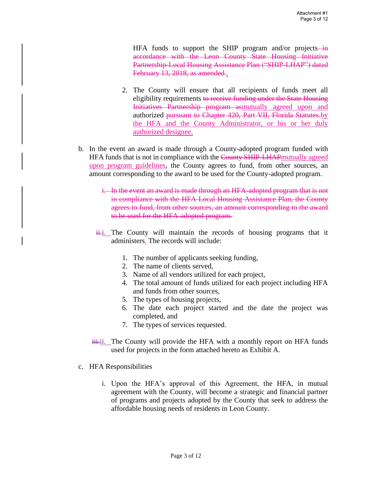HFA funds to support the SHIP program and/or projects—in accordance with the Leon County State Housing Initiative Partnership-Local Housing Assistance Plan ("SHIP-LHAP") dated February 13, 2018, as amended..

- 2. The County will ensure that all recipients of funds meet all eligibility requirements to receive funding under the State Housing Initiatives Partnership program asmutually agreed upon and authorized pursuant to Chapter 420, Part VII, Florida Statutes.by the HFA and the County Administrator, or his or her duly authorized designee.
- b. In the event an award is made through a County-adopted program funded with HFA funds that is not in compliance with the County SHIP-LHAP mutually agreed upon program guidelines, the County agrees to fund, from other sources, an amount corresponding to the award to be used for the County-adopted program.
	- i. In the event an award is made through an HFA-adopted program that is not in compliance with the HFA Local Housing Assistance Plan, the County agrees to fund, from other sources, an amount corresponding to the award to be used for the HFA-adopted program.
	- $\frac{1}{11}$ . The County will maintain the records of housing programs that it administers. The records will include:
		- 1. The number of applicants seeking funding,
		- 2. The name of clients served,
		- 3. Name of all vendors utilized for each project,
		- 4. The total amount of funds utilized for each project including HFA and funds from other sources,
		- 5. The types of housing projects,
		- 6. The date each project started and the date the project was completed, and
		- 7. The types of services requested.
	- $\ddot{\text{ii}}$ . The County will provide the HFA with a monthly report on HFA funds used for projects in the form attached hereto as Exhibit A.
- c. HFA Responsibilities
	- i. Upon the HFA's approval of this Agreement, the HFA, in mutual agreement with the County, will become a strategic and financial partner of programs and projects adopted by the County that seek to address the affordable housing needs of residents in Leon County.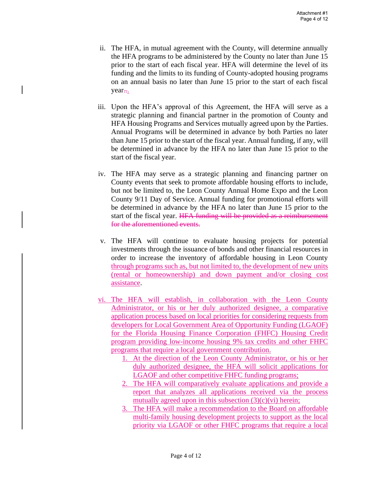- ii. The HFA, in mutual agreement with the County, will determine annually the HFA programs to be administered by the County no later than June 15 prior to the start of each fiscal year. HFA will determine the level of its funding and the limits to its funding of County-adopted housing programs on an annual basis no later than June 15 prior to the start of each fiscal year...
- iii. Upon the HFA's approval of this Agreement, the HFA will serve as a strategic planning and financial partner in the promotion of County and HFA Housing Programs and Services mutually agreed upon by the Parties. Annual Programs will be determined in advance by both Parties no later than June 15 prior to the start of the fiscal year. Annual funding, if any, will be determined in advance by the HFA no later than June 15 prior to the start of the fiscal year.
- iv. The HFA may serve as a strategic planning and financing partner on County events that seek to promote affordable housing efforts to include, but not be limited to, the Leon County Annual Home Expo and the Leon County 9/11 Day of Service. Annual funding for promotional efforts will be determined in advance by the HFA no later than June 15 prior to the start of the fiscal year. HFA funding will be provided as a reimbursement for the aforementioned events.
- v. The HFA will continue to evaluate housing projects for potential investments through the issuance of bonds and other financial resources in order to increase the inventory of affordable housing in Leon County through programs such as, but not limited to, the development of new units (rental or homeownership) and down payment and/or closing cost assistance.
- vi. The HFA will establish, in collaboration with the Leon County Administrator, or his or her duly authorized designee, a comparative application process based on local priorities for considering requests from developers for Local Government Area of Opportunity Funding (LGAOF) for the Florida Housing Finance Corporation (FHFC) Housing Credit program providing low-income housing 9% tax credits and other FHFC programs that require a local government contribution.
	- 1. At the direction of the Leon County Administrator, or his or her duly authorized designee, the HFA will solicit applications for LGAOF and other competitive FHFC funding programs;
	- 2. The HFA will comparatively evaluate applications and provide a report that analyzes all applications received via the process mutually agreed upon in this subsection  $(3)(c)(vi)$  herein;
	- 3. The HFA will make a recommendation to the Board on affordable multi-family housing development projects to support as the local priority via LGAOF or other FHFC programs that require a local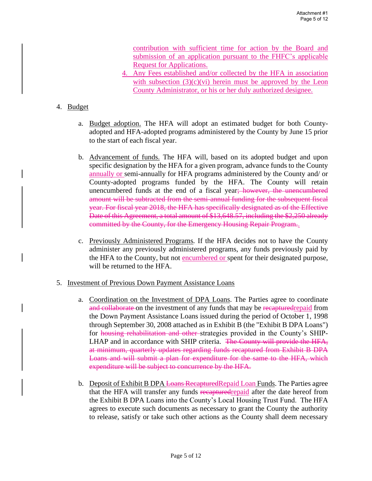contribution with sufficient time for action by the Board and submission of an application pursuant to the FHFC's applicable Request for Applications.

4. Any Fees established and/or collected by the HFA in association with subsection  $(3)(c)(vi)$  herein must be approved by the Leon County Administrator, or his or her duly authorized designee.

#### 4. Budget

- a. Budget adoption. The HFA will adopt an estimated budget for both Countyadopted and HFA-adopted programs administered by the County by June 15 prior to the start of each fiscal year.
- b. Advancement of funds. The HFA will, based on its adopted budget and upon specific designation by the HFA for a given program, advance funds to the County annually or semi-annually for HFA programs administered by the County and/ or County-adopted programs funded by the HFA. The County will retain unencumbered funds at the end of a fiscal year; however, the unencumbered amount will be subtracted from the semi-annual funding for the subsequent fiscal year. For fiscal year 2018, the HFA has specifically designated as of the Effective Date of this Agreement, a total amount of \$13,648.57, including the \$2,250 already committed by the County, for the Emergency Housing Repair Program..
- c. Previously Administered Programs*.* If the HFA decides not to have the County administer any previously administered programs, any funds previously paid by the HFA to the County, but not encumbered or spent for their designated purpose, will be returned to the HFA.
- 5. Investment of Previous Down Payment Assistance Loans
	- a. Coordination on the Investment of DPA Loans. The Parties agree to coordinate and collaborate on the investment of any funds that may be recaptured repaid from the Down Payment Assistance Loans issued during the period of October 1, 1998 through September 30, 2008 attached as in Exhibit B (the "Exhibit B DPA Loans") for housing rehabilitation and other strategies provided in the County's SHIP-LHAP and in accordance with SHIP criteria. The County will provide the HFA, at minimum, quarterly updates regarding funds recaptured from Exhibit B DPA Loans and will submit a plan for expenditure for the same to the HFA, which expenditure will be subject to concurrence by the HFA.
	- b. Deposit of Exhibit B DPA Loans RecapturedRepaid Loan Funds. The Parties agree that the HFA will transfer any funds recapturedrepaid after the date hereof from the Exhibit B DPA Loans into the County's Local Housing Trust Fund. The HFA agrees to execute such documents as necessary to grant the County the authority to release, satisfy or take such other actions as the County shall deem necessary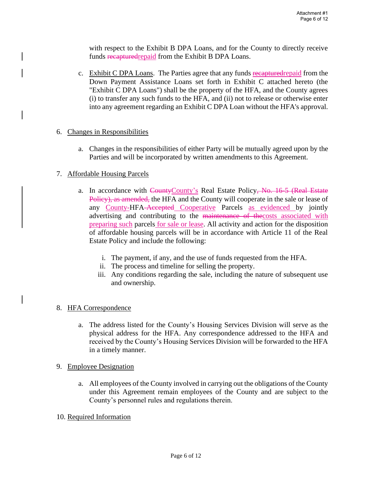with respect to the Exhibit B DPA Loans, and for the County to directly receive funds recapturedrepaid from the Exhibit B DPA Loans.

c. Exhibit C DPA Loans. The Parties agree that any funds recapturedrepaid from the Down Payment Assistance Loans set forth in Exhibit C attached hereto (the "Exhibit C DPA Loans") shall be the property of the HFA, and the County agrees (i) to transfer any such funds to the HFA, and (ii) not to release or otherwise enter into any agreement regarding an Exhibit C DPA Loan without the HFA's approval.

#### 6. Changes in Responsibilities

a. Changes in the responsibilities of either Party will be mutually agreed upon by the Parties and will be incorporated by written amendments to this Agreement.

#### 7. Affordable Housing Parcels

- a. In accordance with CountyCounty's Real Estate Policy, No. 16-5 (Real Estate Policy), as amended, the HFA and the County will cooperate in the sale or lease of any County-HFA-Accepted Cooperative Parcels as evidenced by jointly advertising and contributing to the maintenance of the costs associated with preparing such parcels for sale or lease. All activity and action for the disposition of affordable housing parcels will be in accordance with Article 11 of the Real Estate Policy and include the following:
	- i. The payment, if any, and the use of funds requested from the HFA.
	- ii. The process and timeline for selling the property.
	- iii. Any conditions regarding the sale, including the nature of subsequent use and ownership.

#### 8. HFA Correspondence

- a. The address listed for the County's Housing Services Division will serve as the physical address for the HFA. Any correspondence addressed to the HFA and received by the County's Housing Services Division will be forwarded to the HFA in a timely manner.
- 9. Employee Designation
	- a. All employees of the County involved in carrying out the obligations of the County under this Agreement remain employees of the County and are subject to the County's personnel rules and regulations therein.
- 10. Required Information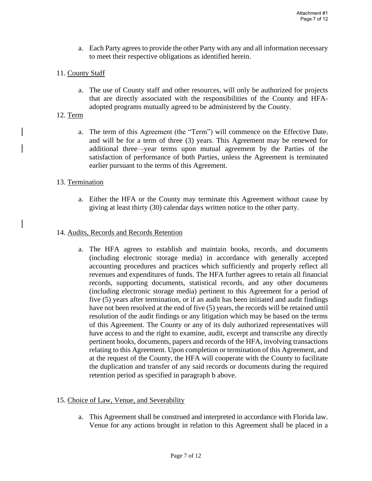a. Each Party agrees to provide the other Party with any and all information necessary to meet their respective obligations as identified herein.

### 11. County Staff

a. The use of County staff and other resources, will only be authorized for projects that are directly associated with the responsibilities of the County and HFAadopted programs mutually agreed to be administered by the County.

#### 12. Term

a. The term of this Agreement (the "Term") will commence on the Effective Date, and will be for a term of three (3) years. This Agreement may be renewed for additional three—year terms upon mutual agreement by the Parties of the satisfaction of performance of both Parties, unless the Agreement is terminated earlier pursuant to the terms of this Agreement.

#### 13. Termination

a. Either the HFA or the County may terminate this Agreement without cause by giving at least thirty (30) calendar days written notice to the other party.

#### 14. Audits, Records and Records Retention

a. The HFA agrees to establish and maintain books, records, and documents (including electronic storage media) in accordance with generally accepted accounting procedures and practices which sufficiently and properly reflect all revenues and expenditures of funds. The HFA further agrees to retain all financial records, supporting documents, statistical records, and any other documents (including electronic storage media) pertinent to this Agreement for a period of five (5) years after termination, or if an audit has been initiated and audit findings have not been resolved at the end of five (5) years, the records will be retained until resolution of the audit findings or any litigation which may be based on the terms of this Agreement. The County or any of its duly authorized representatives will have access to and the right to examine, audit, excerpt and transcribe any directly pertinent books, documents, papers and records of the HFA, involving transactions relating to this Agreement. Upon completion or termination of this Agreement, and at the request of the County, the HFA will cooperate with the County to facilitate the duplication and transfer of any said records or documents during the required retention period as specified in paragraph b above.

#### 15. Choice of Law, Venue, and Severability

a. This Agreement shall be construed and interpreted in accordance with Florida law. Venue for any actions brought in relation to this Agreement shall be placed in a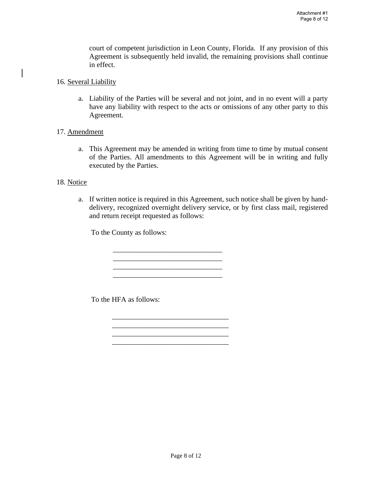court of competent jurisdiction in Leon County, Florida. If any provision of this Agreement is subsequently held invalid, the remaining provisions shall continue in effect.

- 16. Several Liability
	- a. Liability of the Parties will be several and not joint, and in no event will a party have any liability with respect to the acts or omissions of any other party to this Agreement.
- 17. Amendment
	- a. This Agreement may be amended in writing from time to time by mutual consent of the Parties. All amendments to this Agreement will be in writing and fully executed by the Parties.

### 18. Notice

a. If written notice is required in this Agreement, such notice shall be given by handdelivery, recognized overnight delivery service, or by first class mail, registered and return receipt requested as follows:

To the County as follows:

\_\_\_\_\_\_\_\_\_\_\_\_\_\_\_\_\_\_\_\_\_\_\_\_\_\_\_\_\_\_

\_\_\_\_\_\_\_\_\_\_\_\_\_\_\_\_\_\_\_\_\_\_\_\_\_\_\_\_\_\_

\_\_\_\_\_\_\_\_\_\_\_\_\_\_\_\_\_\_\_\_\_\_\_\_\_\_\_\_\_\_\_\_ \_\_\_\_\_\_\_\_\_\_\_\_\_\_\_\_\_\_\_\_\_\_\_\_\_\_\_\_\_\_\_\_ \_\_\_\_\_\_\_\_\_\_\_\_\_\_\_\_\_\_\_\_\_\_\_\_\_\_\_\_\_\_\_\_ \_\_\_\_\_\_\_\_\_\_\_\_\_\_\_\_\_\_\_\_\_\_\_\_\_\_\_\_\_\_\_\_

To the HFA as follows: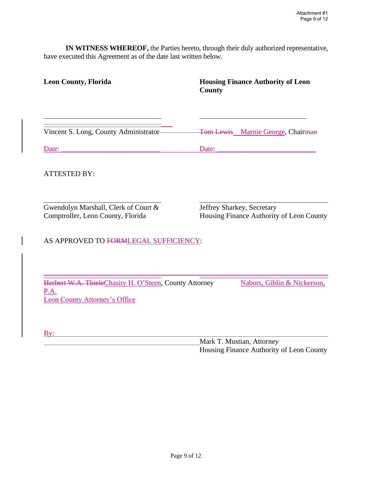**IN WITNESS WHEREOF,** the Parties hereto, through their duly authorized representative, have executed this Agreement as of the date last written below.

| <b>Leon County, Florida</b>                                                                            | <b>Housing Finance Authority of Leon</b><br><b>County</b>              |  |  |  |  |  |
|--------------------------------------------------------------------------------------------------------|------------------------------------------------------------------------|--|--|--|--|--|
|                                                                                                        |                                                                        |  |  |  |  |  |
| Vincent S. Long, County Administrator-                                                                 | Tom Lewis Marnie George, Chairman                                      |  |  |  |  |  |
|                                                                                                        |                                                                        |  |  |  |  |  |
| <b>ATTESTED BY:</b>                                                                                    |                                                                        |  |  |  |  |  |
| Gwendolyn Marshall, Clerk of Court &<br>Comptroller, Leon County, Florida                              | Jeffrey Sharkey, Secretary<br>Housing Finance Authority of Leon County |  |  |  |  |  |
| AS APPROVED TO FORMLEGAL SUFFICIENCY:                                                                  |                                                                        |  |  |  |  |  |
|                                                                                                        |                                                                        |  |  |  |  |  |
| Herbert W.A. ThieleChasity H. O'Steen, County Attorney<br>P.A.<br><b>Leon County Attorney's Office</b> | Nabors, Giblin & Nickerson,                                            |  |  |  |  |  |
|                                                                                                        |                                                                        |  |  |  |  |  |
| By:                                                                                                    |                                                                        |  |  |  |  |  |
| Mark T. Mustian, Attorney                                                                              |                                                                        |  |  |  |  |  |

Housing Finance Authority of Leon County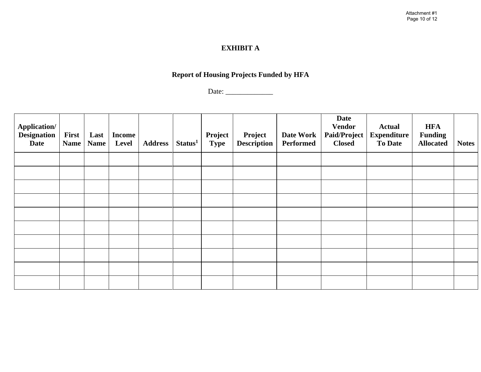# **EXHIBIT A**

# **Report of Housing Projects Funded by HFA**

Date: \_\_\_\_\_\_\_\_\_\_\_\_\_

| <b>Application/</b><br><b>Designation</b><br>Date | First<br><b>Name</b> | Last<br><b>Name</b> | <b>Income</b><br>Level | <b>Address</b> | Status <sup>1</sup> | Project<br><b>Type</b> | Project<br><b>Description</b> | Date Work<br>Performed | <b>Date</b><br><b>Vendor</b><br>Paid/Project<br><b>Closed</b> | <b>Actual</b><br><b>Expenditure</b><br><b>To Date</b> | <b>HFA</b><br><b>Funding</b><br><b>Allocated</b> | <b>Notes</b> |
|---------------------------------------------------|----------------------|---------------------|------------------------|----------------|---------------------|------------------------|-------------------------------|------------------------|---------------------------------------------------------------|-------------------------------------------------------|--------------------------------------------------|--------------|
|                                                   |                      |                     |                        |                |                     |                        |                               |                        |                                                               |                                                       |                                                  |              |
|                                                   |                      |                     |                        |                |                     |                        |                               |                        |                                                               |                                                       |                                                  |              |
|                                                   |                      |                     |                        |                |                     |                        |                               |                        |                                                               |                                                       |                                                  |              |
|                                                   |                      |                     |                        |                |                     |                        |                               |                        |                                                               |                                                       |                                                  |              |
|                                                   |                      |                     |                        |                |                     |                        |                               |                        |                                                               |                                                       |                                                  |              |
|                                                   |                      |                     |                        |                |                     |                        |                               |                        |                                                               |                                                       |                                                  |              |
|                                                   |                      |                     |                        |                |                     |                        |                               |                        |                                                               |                                                       |                                                  |              |
|                                                   |                      |                     |                        |                |                     |                        |                               |                        |                                                               |                                                       |                                                  |              |
|                                                   |                      |                     |                        |                |                     |                        |                               |                        |                                                               |                                                       |                                                  |              |
|                                                   |                      |                     |                        |                |                     |                        |                               |                        |                                                               |                                                       |                                                  |              |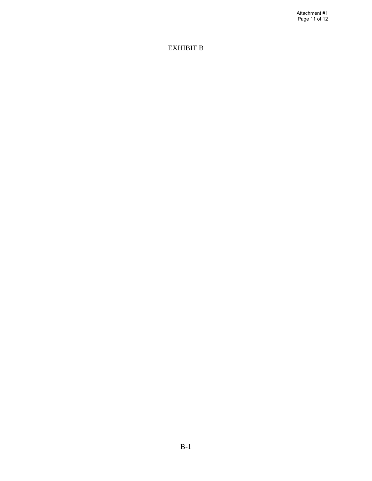Attachment #1 Page 11 of 12

# EXHIBIT B